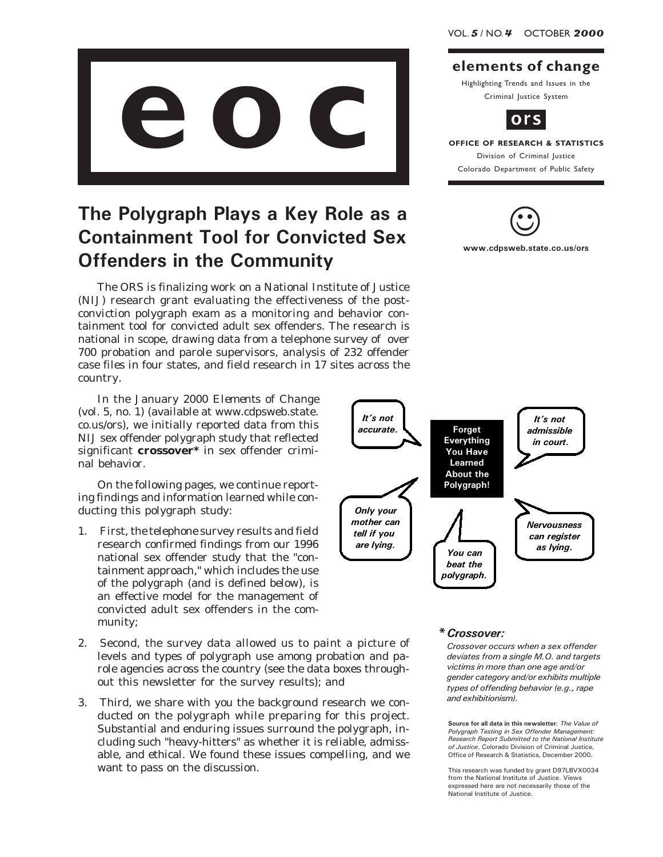

## The Polygraph Plays a Key Role as a Containment Tool for Convicted Sex Offenders in the Community

The ORS is finalizing work on a National Institute of Justice (NIJ) research grant evaluating the effectiveness of the postconviction polygraph exam as a monitoring and behavior containment tool for convicted adult sex offenders. The research is national in scope, drawing data from a telephone survey of over 700 probation and parole supervisors, analysis of 232 offender case files in four states, and field research in 17 sites across the country.

In the January 2000 *Elements of Change* (vol. 5, no. 1) (available at www.cdpsweb.state. co.us/ors), we initially reported data from this NIJ sex offender polygraph study that reflected significant **crossover\*** in sex offender criminal behavior.

On the following pages*,* we continue reporting findings and information learned while conducting this polygraph study:

- 1. First, the telephone survey results and field research confirmed findings from our 1996 national sex offender study that the "containment approach," which includes the use of the polygraph (and is defined below), is an effective model for the management of convicted adult sex offenders in the community;
- 2. Second, the survey data allowed us to paint a picture of levels and types of polygraph use among probation and parole agencies across the country (see the data boxes throughout this newsletter for the survey results); and
- 3. Third, we share with you the background research we conducted on the polygraph while preparing for this project. Substantial and enduring issues surround the polygraph, including such "heavy-hitters" as whether it is reliable, admissable, and ethical. We found these issues compelling, and we want to pass on the discussion.

#### elements of change

Highlighting Trends and Issues in the Criminal Justice System



# Division of Criminal Justice

Colorado Department of Public Safety





#### \*Crossover:

Crossover occurs when a sex offender deviates from a single M.O. and targets victims in more than one age and/or gender category and/or exhibits multiple types of offending behavior (e.g., rape and exhibitionism).

Source for all data in this newsletter: The Value of Polygraph Testing in Sex Offender Management: Research Report Submitted to the National Institute of Justice, Colorado Division of Criminal Justice, Office of Research & Statistics, December 2000.

This research was funded by grant D97LBVX0034 from the National Institute of Justice. Views expressed here are not necessarily those of the National Institute of Justice.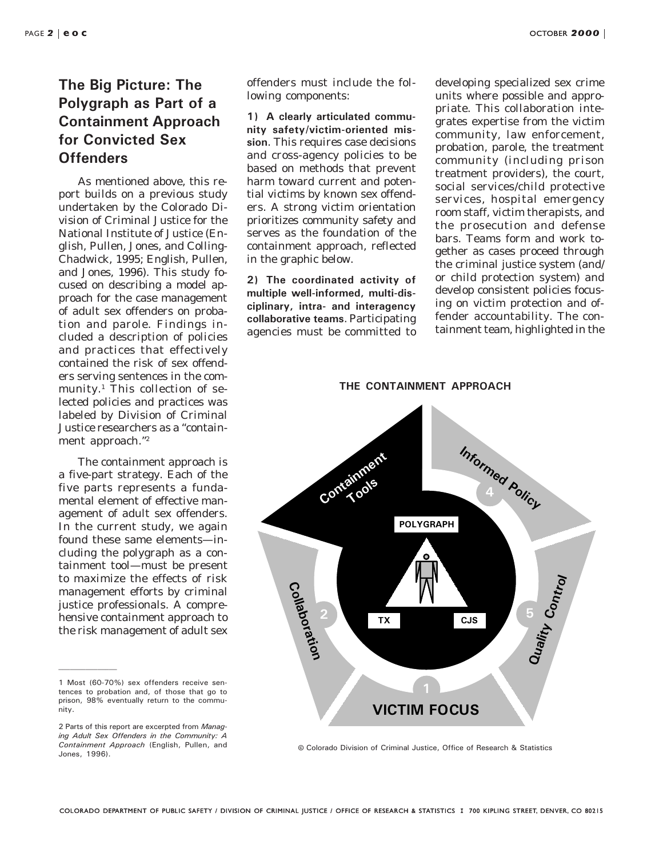### The Big Picture: The Polygraph as Part of a Containment Approach for Convicted Sex **Offenders**

As mentioned above, this report builds on a previous study undertaken by the Colorado Division of Criminal Justice for the National Institute of Justice (English, Pullen, Jones, and Colling-Chadwick, 1995; English, Pullen, and Jones, 1996). This study focused on describing a model approach for the case management of adult sex offenders on probation and parole. Findings included a description of policies and practices that effectively contained the risk of sex offenders serving sentences in the community.<sup>1</sup> This collection of selected policies and practices was labeled by Division of Criminal Justice researchers as a "containment approach."2

The containment approach is a five-part strategy. Each of the five parts represents a fundamental element of effective management of adult sex offenders. In the current study, we again found these same elements—including the polygraph as a containment tool—must be present to maximize the effects of risk management efforts by criminal justice professionals. A comprehensive containment approach to the risk management of adult sex

offenders must include the following components:

1) A clearly articulated community safety/victim-oriented mission. This requires case decisions and cross-agency policies to be based on methods that prevent harm toward current and potential victims by known sex offenders. A strong victim orientation prioritizes community safety and serves as the *foundation* of the containment approach, reflected in the graphic below.

2) The coordinated activity of multiple well-informed, multi-disciplinary, intra- and interagency collaborative teams. Participating agencies must be committed to developing specialized sex crime units where possible and appropriate. This collaboration integrates expertise from the victim community, law enforcement, probation, parole, the treatment community (including prison treatment providers), the court, social services/child protective services, hospital emergency room staff, victim therapists, and the prosecution and defense bars. Teams form and work together as cases proceed through the criminal justice system (and/ or child protection system) and develop consistent policies focusing on victim protection and offender accountability. The containment team, highlighted in the



8 Colorado Division of Criminal Justice, Office of Research & Statistics

<sup>1</sup> Most (60-70%) sex offenders receive sentences to probation and, of those that go to prison, 98% eventually return to the community.

<sup>2</sup> Parts of this report are excerpted from Managing Adult Sex Offenders in the Community: A Containment Approach (English, Pullen, and Jones, 1996).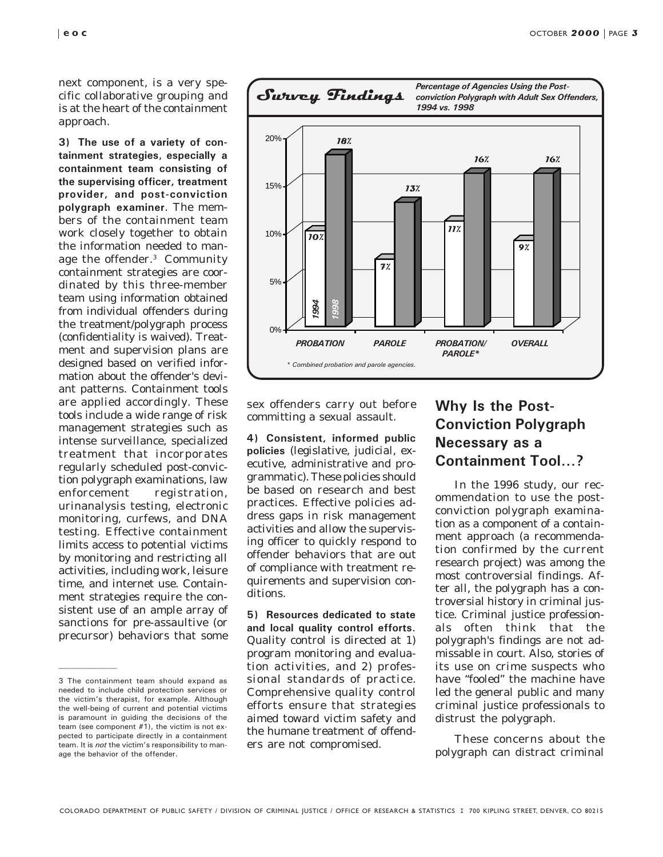next component, is a very specific collaborative grouping and is at the heart of the containment approach.

3) The use of a variety of containment strategies, especially a containment team consisting of the supervising officer, treatment provider, and post-conviction polygraph examiner. The members of the containment team work closely together to obtain the information needed to manage the offender.3 Community containment strategies are coordinated by this three-member team using information obtained from individual offenders during the treatment/polygraph process (confidentiality is waived). Treatment and supervision plans are designed based on verified information about the offender's deviant patterns. Containment tools are applied accordingly. These tools include a wide range of risk management strategies such as intense surveillance, specialized treatment that incorporates regularly scheduled post-conviction polygraph examinations, law enforcement registration, urinanalysis testing, electronic monitoring, curfews, and DNA testing. Effective containment limits access to potential victims by monitoring and restricting all activities, including work, leisure time, and internet use. Containment strategies require the consistent use of an ample array of sanctions for pre-assaultive (or precursor) behaviors that some



sex offenders carry out before committing a sexual assault*.*

4) Consistent, informed public policies (legislative, judicial, executive, administrative and programmatic). These policies should be based on research and best practices. Effective policies address gaps in risk management activities and allow the supervising officer to quickly respond to offender behaviors that are out of compliance with treatment requirements and supervision conditions.

5) Resources dedicated to state and local quality control efforts. Quality control is directed at 1) program monitoring and evaluation activities, and 2) professional standards of practice. Comprehensive quality control efforts ensure that strategies aimed toward victim safety and the humane treatment of offenders are not compromised.

## Why Is the Post-Conviction Polygraph Necessary as a Containment Tool...?

In the 1996 study, our recommendation to use the postconviction polygraph examination as a component of a containment approach (a recommendation confirmed by the current research project) was among the most controversial findings. After all, the polygraph has a controversial history in criminal justice. Criminal justice professionals often think that the polygraph's findings are not admissable in court. Also, stories of its use on crime suspects who have "fooled" the machine have led the general public and many criminal justice professionals to distrust the polygraph.

These concerns about the polygraph can distract criminal

<sup>3</sup> The containment team should expand as needed to include child protection services or the victim's therapist, for example. Although the well-being of current and potential victims is paramount in guiding the decisions of the team (see component #1), the victim is not expected to participate directly in a containment team. It is not the victim's responsibility to manage the behavior of the offender.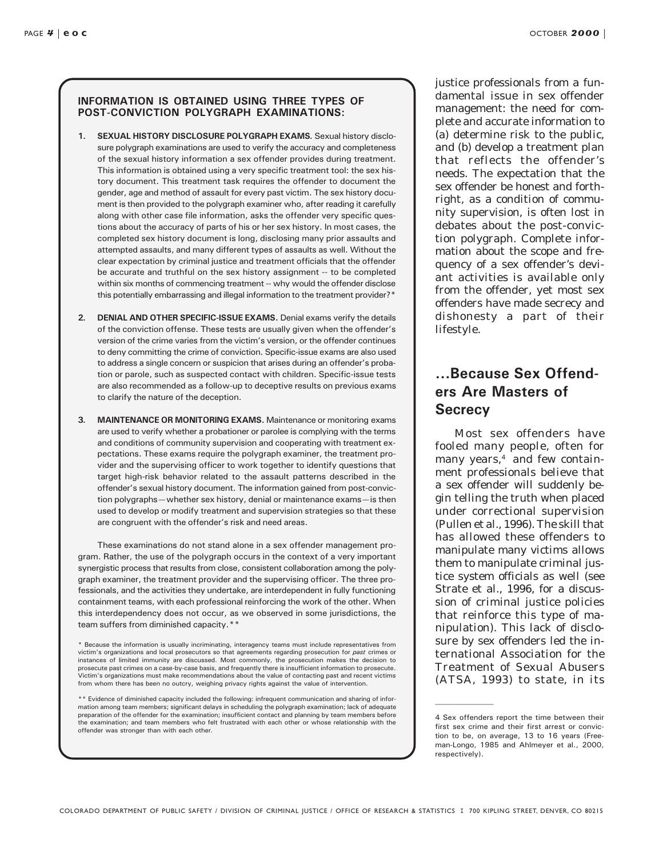#### INFORMATION IS OBTAINED USING THREE TYPES OF POST-CONVICTION POLYGRAPH EXAMINATIONS:

- 1. SEXUAL HISTORY DISCLOSURE POLYGRAPH EXAMS. Sexual history disclosure polygraph examinations are used to verify the accuracy and completeness of the sexual history information a sex offender provides during treatment. This information is obtained using a very specific treatment tool: the sex history document. This treatment task requires the offender to document the gender, age and method of assault for every past victim. The sex history document is then provided to the polygraph examiner who, after reading it carefully along with other case file information, asks the offender very specific questions about the accuracy of parts of his or her sex history. In most cases, the completed sex history document is long, disclosing many prior assaults and attempted assaults, and many different types of assaults as well. Without the clear expectation by criminal justice and treatment officials that the offender be accurate and truthful on the sex history assignment -- to be completed within six months of commencing treatment -- why would the offender disclose this potentially embarrassing and illegal information to the treatment provider?\*
- 2. DENIAL AND OTHER SPECIFIC-ISSUE EXAMS. Denial exams verify the details of the conviction offense. These tests are usually given when the offender's version of the crime varies from the victim's version, or the offender continues to deny committing the crime of conviction. Specific-issue exams are also used to address a single concern or suspicion that arises during an offender's probation or parole, such as suspected contact with children. Specific-issue tests are also recommended as a follow-up to deceptive results on previous exams to clarify the nature of the deception.
- 3. MAINTENANCE OR MONITORING EXAMS. Maintenance or monitoring exams are used to verify whether a probationer or parolee is complying with the terms and conditions of community supervision and cooperating with treatment expectations. These exams require the polygraph examiner, the treatment provider and the supervising officer to work together to identify questions that target high-risk behavior related to the assault patterns described in the offender's sexual history document. The information gained from post-conviction polygraphs-whether sex history, denial or maintenance exams-is then used to develop or modify treatment and supervision strategies so that these are congruent with the offender's risk and need areas.

These examinations do not stand alone in a sex offender management program. Rather, the use of the polygraph occurs in the context of a very important synergistic process that results from close, consistent collaboration among the polygraph examiner, the treatment provider and the supervising officer. The three professionals, and the activities they undertake, are interdependent in fully functioning containment teams, with each professional reinforcing the work of the other. When this interdependency does not occur, as we observed in some jurisdictions, the team suffers from diminished capacity.\*\*

\* Because the information is usually incriminating, interagency teams must include representatives from victim's organizations and local prosecutors so that agreements regarding prosecution for *past c*rimes or<br>instances of limited immunity are discussed. Most commonly, the prosecution makes the decision to prosecute past crimes on a case-by-case basis, and frequently there is insufficient information to prosecute. Victim's organizations must make recommendations about the value of contacting past and recent victims from whom there has been no outcry, weighing privacy rights against the value of intervention.

\*\* Evidence of diminished capacity included the following: infrequent communication and sharing of information among team members; significant delays in scheduling the polygraph examination; lack of adequate preparation of the offender for the examination; insufficient contact and planning by team members before the examination; and team members who felt frustrated with each other or whose relationship with the offender was stronger than with each other.

justice professionals from a fundamental issue in sex offender management: the need for complete and accurate information to (a) determine risk to the public, and (b) develop a treatment plan that reflects the offender's needs. The expectation that the sex offender be honest and forthright, as a condition of community supervision, is often lost in debates about the post-conviction polygraph. Complete information about the scope and frequency of a sex offender's deviant activities is available only from the offender, yet most sex offenders have made secrecy and dishonesty a part of their lifestyle.

#### ...Because Sex Offenders Are Masters of **Secrecy**

Most sex offenders have fooled many people, often for many years, $4$  and few containment professionals believe that a sex offender will suddenly begin telling the truth when placed under correctional supervision (Pullen et al., 1996). The skill that has allowed these offenders to manipulate many victims allows them to manipulate criminal justice system officials as well (see Strate et al., 1996, for a discussion of criminal justice policies that reinforce this type of manipulation). This lack of disclosure by sex offenders led the international Association for the Treatment of Sexual Abusers (ATSA, 1993) to state, in its

<sup>4</sup> Sex offenders report the time between their first sex crime and their first arrest or conviction to be, on average, 13 to 16 years (Freeman-Longo, 1985 and Ahlmeyer et al., 2000, respectively).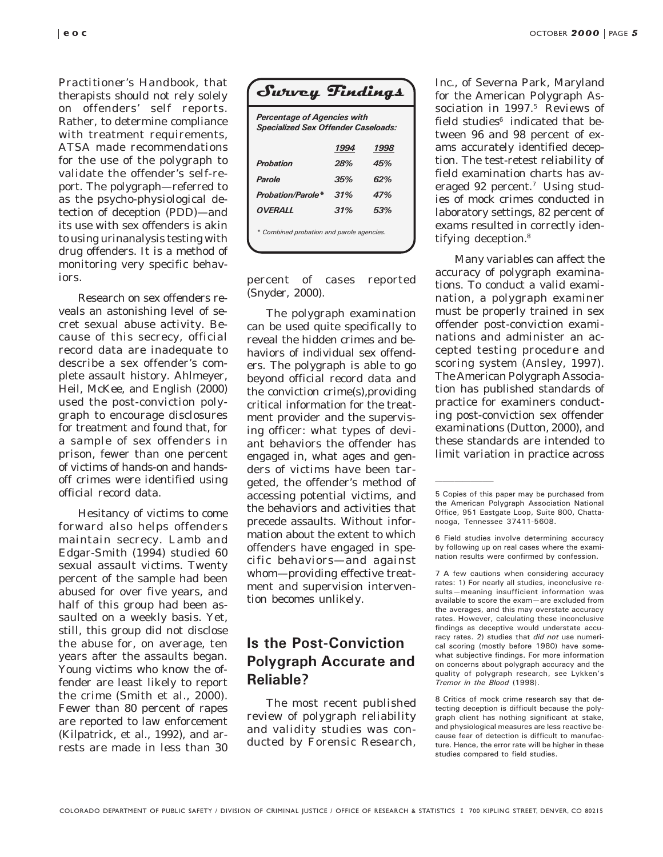*Practitioner's Handbook*, that therapists should not rely solely on offenders' self reports. Rather, to determine compliance with treatment requirements, ATSA made recommendations for the use of the polygraph to validate the offender's self-report. The polygraph—referred to as the psycho-physiological detection of deception (PDD)—and its use with sex offenders is akin to using urinanalysis testing with drug offenders. It is a method of monitoring very specific behaviors.

Research on sex offenders reveals an astonishing level of secret sexual abuse activity. Because of this secrecy, official record data are inadequate to describe a sex offender's complete assault history. Ahlmeyer, Heil, McKee, and English (2000) used the post-conviction polygraph to encourage disclosures for treatment and found that, for a sample of sex offenders in prison, fewer than one percent of victims of hands-on and handsoff crimes were identified using official record data.

Hesitancy of victims to come forward also helps offenders maintain secrecy. Lamb and Edgar-Smith (1994) studied 60 sexual assault victims. Twenty percent of the sample had been abused for over five years, and half of this group had been assaulted on a weekly basis. Yet, still, this group did not disclose the abuse for, on average, ten years after the assaults began. Young victims who know the offender are least likely to report the crime (Smith et al., 2000). Fewer than 80 percent of rapes are reported to law enforcement (Kilpatrick, et al., 1992), and arrests are made in less than 30

| Survey Tindings                                                                  |      |      |  |  |
|----------------------------------------------------------------------------------|------|------|--|--|
| <b>Percentage of Agencies with</b><br><b>Specialized Sex Offender Caseloads:</b> |      |      |  |  |
|                                                                                  | 1994 | 1998 |  |  |
| <b>Probation</b>                                                                 | 28%  | 45%  |  |  |
| Parole                                                                           | 35%  | 62%  |  |  |
| <b>Probation/Parole*</b>                                                         | .31% | 47%  |  |  |
| <b>OVERALL</b>                                                                   | .31% | 53%  |  |  |
| * Combined probation and parole agencies.                                        |      |      |  |  |

percent of cases reported (Snyder, 2000).

The polygraph examination can be used quite specifically to reveal the hidden crimes and behaviors of individual sex offenders. The polygraph is able to go beyond official record data and the conviction crime(s),providing critical information for the treatment provider and the supervising officer: what types of deviant behaviors the offender has engaged in, what ages and genders of victims have been targeted, the offender's method of accessing potential victims, and the behaviors and activities that precede assaults. Without information about the extent to which offenders have engaged in specific behaviors—and against whom—providing effective treatment and supervision intervention becomes unlikely.

#### Is the Post-Conviction Polygraph Accurate and Reliable?

The most recent published review of polygraph reliability and validity studies was conducted by Forensic Research, Inc., of Severna Park, Maryland for the American Polygraph Association in 1997.<sup>5</sup> Reviews of field studies $6$  indicated that between 96 and 98 percent of exams accurately identified deception. The test-retest reliability of field examination charts has averaged 92 percent.<sup>7</sup> Using studies of mock crimes conducted in laboratory settings, 82 percent of exams resulted in correctly identifying deception.8

Many variables can affect the accuracy of polygraph examinations. To conduct a valid examination, a polygraph examiner must be properly trained in sex offender post-conviction examinations and administer an accepted testing procedure and scoring system (Ansley, 1997). The American Polygraph Association has published standards of practice for examiners conducting post-conviction sex offender examinations (Dutton, 2000), and these standards are intended to limit variation in practice across

6 Field studies involve determining accuracy by following up on real cases where the examination results were confirmed by confession.

7 A few cautions when considering accuracy rates: 1) For nearly all studies, inconclusive results-meaning insufficient information was available to score the exam-are excluded from the averages, and this may overstate accuracy rates. However, calculating these inconclusive findings as deceptive would understate accuracy rates. 2) studies that did not use numerical scoring (mostly before 1980) have somewhat subjective findings. For more information on concerns about polygraph accuracy and the quality of polygraph research, see Lykken's Tremor in the Blood (1998).

8 Critics of mock crime research say that detecting deception is difficult because the polygraph client has nothing significant at stake, and physiological measures are less reactive because fear of detection is difficult to manufacture. Hence, the error rate will be higher in these studies compared to field studies.

<sup>5</sup> Copies of this paper may be purchased from the American Polygraph Association National Office, 951 Eastgate Loop, Suite 800, Chattanooga, Tennessee 37411-5608.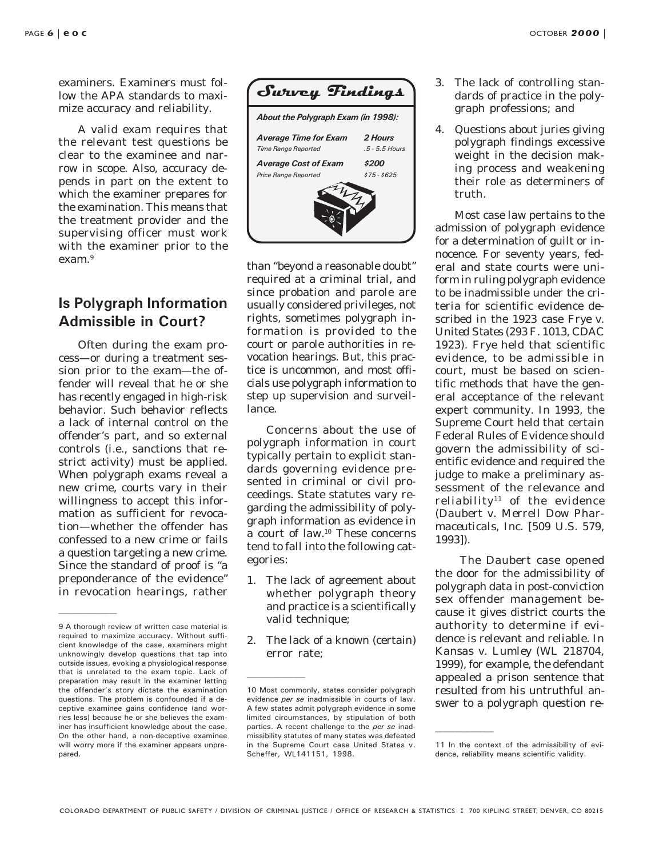examiners. Examiners must follow the APA standards to maximize accuracy and reliability.

A valid exam requires that the relevant test questions be clear to the examinee and narrow in scope. Also, accuracy depends in part on the extent to which the examiner prepares for the examination. This means that the treatment provider and the supervising officer must work with the examiner prior to the exam.9

#### Is Polygraph Information Admissible in Court?

Often during the exam process—or during a treatment session prior to the exam—the offender will reveal that he or she has recently engaged in high-risk behavior. Such behavior reflects a lack of internal control on the offender's part, and so external controls (i.e., sanctions that restrict activity) must be applied. When polygraph exams reveal a new crime, courts vary in their willingness to accept this information as sufficient for revocation—whether the offender has confessed to a new crime or fails a question targeting a new crime. Since the standard of proof is "a preponderance of the evidence" in revocation hearings, rather



than "beyond a reasonable doubt" required at a criminal trial, and since probation and parole are usually considered privileges, not rights, sometimes polygraph information is provided to the court or parole authorities in revocation hearings. But, this practice is uncommon, and most officials use polygraph information to step up supervision and surveillance.

Concerns about the use of polygraph information in court typically pertain to explicit standards governing evidence presented in criminal or civil proceedings. State statutes vary regarding the admissibility of polygraph information as evidence in a court of law.10 These concerns tend to fall into the following categories:

- 1. The lack of agreement about whether polygraph theory and practice is a scientifically valid technique;
- 2. The lack of a known (certain) error rate;
- 3. The lack of *controlling* standards of practice in the polygraph professions; and
- 4. Questions about juries giving polygraph findings excessive weight in the decision making process and weakening their role as determiners of truth.

Most case law pertains to the admission of polygraph evidence for a determination of guilt or innocence. For seventy years, federal and state courts were uniform in ruling polygraph evidence to be inadmissible under the criteria for scientific evidence described in the 1923 case *Frye v. United States* (293 F. 1013, CDAC 1923). *Frye* held that scientific evidence, to be admissible in court, must be based on scientific methods that have the general acceptance of the relevant expert community. In 1993, the Supreme Court held that certain Federal Rules of Evidence should govern the admissibility of scientific evidence and required the judge to make a preliminary assessment of the relevance and reliability<sup>11</sup> of the evidence (*Daubert v. Merrell Dow Pharmaceuticals, Inc.* [509 U.S. 579, 1993]).

 The *Daubert* case opened the door for the admissibility of polygraph data in post-conviction sex offender management because it gives district courts the authority to determine if evidence is relevant and reliable. In *Kansas v. Lumley* (WL 218704, 1999), for example, the defendant appealed a prison sentence that resulted from his untruthful answer to a polygraph question re-

<sup>9</sup> A thorough review of written case material is required to maximize accuracy. Without sufficient knowledge of the case, examiners might unknowingly develop questions that tap into outside issues, evoking a physiological response that is unrelated to the exam topic. Lack of preparation may result in the examiner letting the offender's story dictate the examination questions. The problem is confounded if a deceptive examinee gains confidence (and worries less) because he or she believes the examiner has insufficient knowledge about the case. On the other hand, a non-deceptive examinee will worry more if the examiner appears unprepared.

<sup>10</sup> Most commonly, states consider polygraph evidence per se inadmissible in courts of law. A few states admit polygraph evidence in some limited circumstances, by stipulation of both parties. A recent challenge to the per se inadmissibility statutes of many states was defeated in the Supreme Court case United States v. Scheffer, WL141151, 1998.

<sup>11</sup> In the context of the admissibility of evidence, reliability means scientific validity.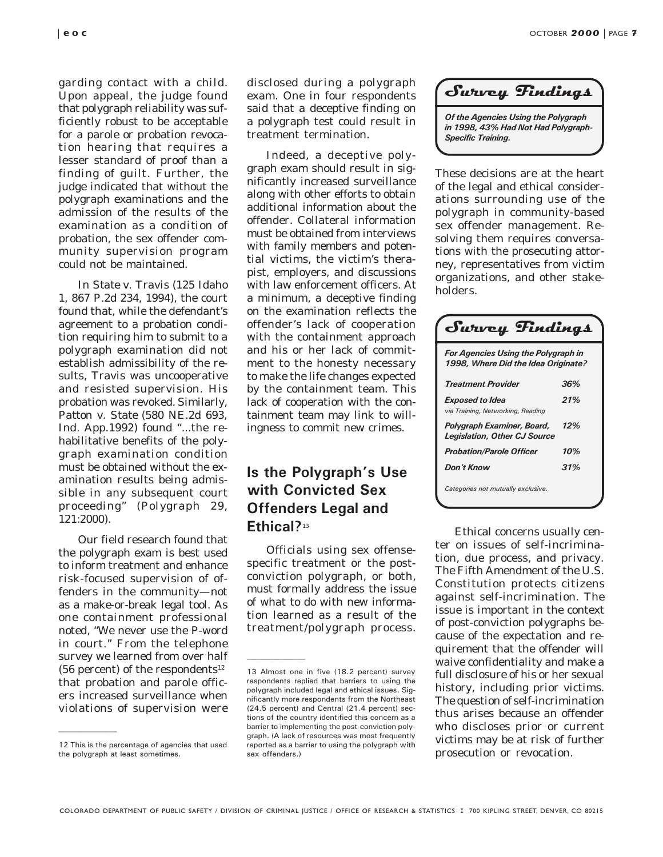garding contact with a child. Upon appeal, the judge found that polygraph reliability was sufficiently robust to be acceptable for a parole or probation revocation hearing that requires a lesser standard of proof than a finding of guilt. Further, the judge indicated that without the polygraph examinations and the admission of the results of the examination *as a condition of probation,* the sex offender community supervision program could not be maintained.

In *State v. Travis* (125 Idaho 1, 867 P.2d 234, 1994), the court found that, while the defendant's agreement to a probation condition requiring him to submit to a polygraph examination did not establish admissibility of the results, Travis was uncooperative and resisted supervision. His probation was revoked. Similarly, *Patton v. State* (580 NE.2d 693, Ind. App.1992) found "...the rehabilitative benefits of the polygraph examination condition must be obtained without the examination results being admissible in any subsequent court proceeding" (*Polygraph 29*, 121:2000).

Our field research found that the polygraph exam is best used to inform treatment and enhance risk-focused supervision of offenders in the community—not as a make-or-break legal tool. As one containment professional noted, "We never use the P-word in court." From the telephone survey we learned from over half (56 percent) of the respondents<sup>12</sup> that probation and parole officers increased surveillance when violations of supervision were

disclosed during a polygraph exam. One in four respondents said that a deceptive finding on a polygraph test could result in treatment termination.

Indeed, a deceptive polygraph exam should result in significantly increased surveillance along with other efforts to obtain additional information about the offender. Collateral information must be obtained from interviews with family members and potential victims, the victim's therapist, employers, and discussions with law enforcement officers. At a minimum, a deceptive finding on the examination reflects the offender's lack of cooperation with the containment approach and his or her lack of commitment to the honesty necessary to make the life changes expected by the containment team. This lack of cooperation with the containment team may link to willingness to commit new crimes.

## Is the Polygraph's Use with Convicted Sex Offenders Legal and Ethical?<sup>13</sup>

Officials using sex offensespecific treatment or the postconviction polygraph, or both, must formally address the issue of what to do with new information learned as a result of the treatment/polygraph process.

#### Survey Findings

Of the Agencies Using the Polygraph in 1998, 43% Had Not Had Polygraph-Specific Training.

These decisions are at the heart of the legal and ethical considerations surrounding use of the polygraph in community-based sex offender management. Resolving them requires conversations with the prosecuting attorney, representatives from victim organizations, and other stakeholders.

| Swwey Findings                                                                    |     |  |
|-----------------------------------------------------------------------------------|-----|--|
| <b>For Agencies Using the Polygraph in</b><br>1998, Where Did the Idea Originate? |     |  |
| Treatment Provider                                                                | 36% |  |
| Exposed to Idea<br>via Training, Networking, Reading                              | 21% |  |
| Polygraph Examiner, Board,<br><b>Legislation, Other CJ Source</b>                 | 12% |  |
| <b>Probation/Parole Officer</b>                                                   | 10% |  |
| <b>Don't Know</b>                                                                 | 31% |  |
| Categories not mutually exclusive.                                                |     |  |

Ethical concerns usually center on issues of self-incrimination, due process, and privacy. The Fifth Amendment of the U.S. Constitution protects citizens against self-incrimination. The issue is important in the context of post-conviction polygraphs because of the expectation and requirement that the offender will waive confidentiality and make a full disclosure of his or her sexual history, including prior victims. The question of self-incrimination thus arises because an offender who discloses prior or current victims may be at risk of further prosecution or revocation.

<sup>12</sup> This is the percentage of agencies that used the polygraph at least sometimes.

<sup>13</sup> Almost one in five (18.2 percent) survey respondents replied that barriers to using the polygraph included legal and ethical issues. Significantly more respondents from the Northeast (24.5 percent) and Central (21.4 percent) sections of the country identified this concern as a barrier to implementing the post-conviction polygraph. (A lack of resources was most frequently reported as a barrier to using the polygraph with sex offenders.)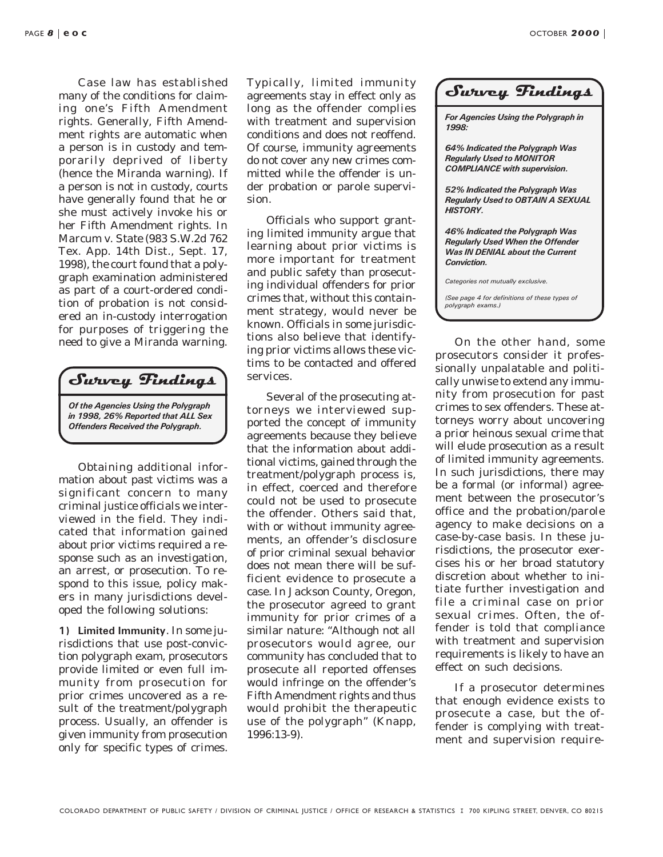Case law has established many of the conditions for claiming one's Fifth Amendment rights. Generally, Fifth Amendment rights are automatic when a person is in custody and temporarily deprived of liberty (hence the Miranda warning). If a person is not in custody, courts have generally found that he or she must actively invoke his or her Fifth Amendment rights. In *Marcum v. State* (983 S.W.2d 762 Tex. App. 14th Dist., Sept. 17, 1998), the court found that a polygraph examination administered as part of a court-ordered condition of probation is not considered an in-custody interrogation for purposes of triggering the need to give a Miranda warning.

Survey Findings

Of the Agencies Using the Polygraph in 1998, 26% Reported that ALL Sex Offenders Received the Polygraph.

Obtaining additional information about *past* victims was a significant concern to many criminal justice officials we interviewed in the field. They indicated that information gained about prior victims required a response such as an investigation, an arrest, or prosecution. To respond to this issue, policy makers in many jurisdictions developed the following solutions:

1) Limited Immunity. In some jurisdictions that use post-conviction polygraph exam, prosecutors provide limited or even full immunity from prosecution for prior crimes uncovered as a result of the treatment/polygraph process. Usually, an offender is given immunity from prosecution only for specific types of crimes. Typically, limited immunity agreements stay in effect only as long as the offender complies with treatment and supervision conditions and does not reoffend. Of course, immunity agreements do *not* cover any *new* crimes committed while the offender is under probation or parole supervision.

Officials who support granting limited immunity argue that learning about prior victims is more important for treatment and public safety than prosecuting individual offenders for prior crimes that, without this containment strategy, would never be known. Officials in some jurisdictions also believe that identifying prior victims allows these victims to be contacted and offered services.

Several of the prosecuting attorneys we interviewed supported the concept of immunity agreements because they believe that the information about additional victims, gained through the treatment/polygraph process is, in effect, coerced and therefore could not be used to prosecute the offender. Others said that, with or without immunity agreements, an offender's disclosure of prior criminal sexual behavior does not mean there will be sufficient evidence to prosecute a case. In Jackson County, Oregon, the prosecutor agreed to grant immunity for prior crimes of a similar nature: "Although not all prosecutors would agree, our community has concluded that to prosecute all reported offenses would infringe on the offender's Fifth Amendment rights and thus would prohibit the therapeutic use of the polygraph" (Knapp, 1996:13-9).

|  | Survey Findings |
|--|-----------------|
|--|-----------------|

For Agencies Using the Polygraph in 1998:

64% Indicated the Polygraph Was Regularly Used to MONITOR COMPLIANCE with supervision.

52% Indicated the Polygraph Was Regularly Used to OBTAIN A SEXUAL HISTORY.

46% Indicated the Polygraph Was Regularly Used When the Offender Was IN DENIAL about the Current Conviction.

Categories not mutually exclusive.

(See page 4 for definitions of these types of polygraph exams.)

On the other hand, some prosecutors consider it professionally unpalatable and politically unwise to extend any immunity from prosecution for past crimes to sex offenders. These attorneys worry about uncovering a prior heinous sexual crime that will elude prosecution as a result of limited immunity agreements. In such jurisdictions, there may be a formal (or informal) agreement between the prosecutor's office and the probation/parole agency to make decisions on a case-by-case basis. In these jurisdictions, the prosecutor exercises his or her broad statutory discretion about whether to initiate further investigation and file a criminal case on prior sexual crimes. Often, the offender is told that compliance with treatment and supervision requirements is likely to have an effect on such decisions.

If a prosecutor determines that enough evidence exists to prosecute a case, but the offender is complying with treatment and supervision require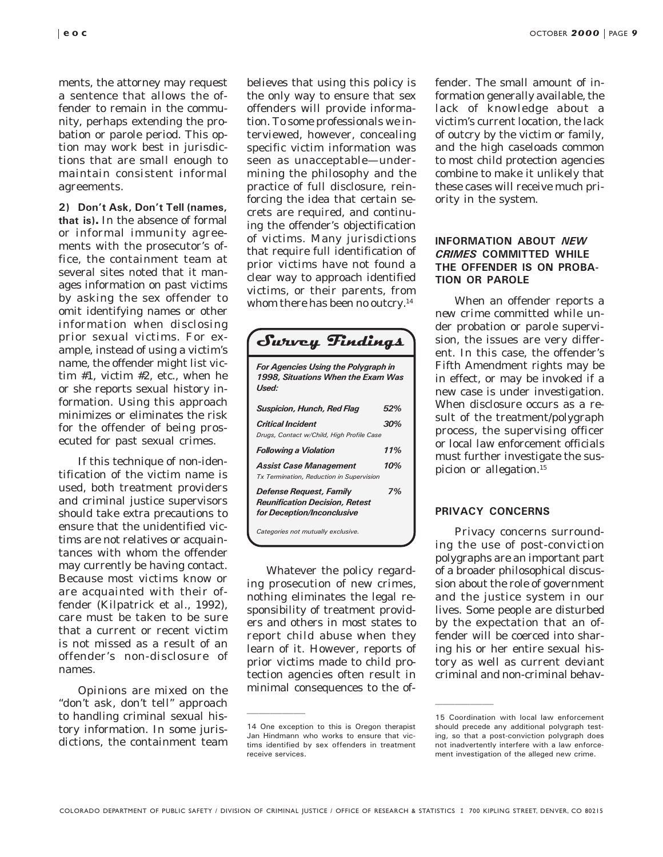ments, the attorney may request a sentence that allows the offender to remain in the community, perhaps extending the probation or parole period. This option may work best in jurisdictions that are small enough to maintain consistent informal agreements.

2) Don't Ask, Don't Tell (names, that is)**.** In the absence of formal or informal immunity agreements with the prosecutor's office, the containment team at several sites noted that it manages information on past victims by asking the sex offender to omit identifying names or other information when disclosing prior sexual victims. For example, instead of using a victim's name, the offender might list victim #1, victim #2, etc., when he or she reports sexual history information. Using this approach minimizes or eliminates the risk for the offender of being prosecuted for past sexual crimes.

If this technique of non-identification of the victim name is used, both treatment providers and criminal justice supervisors should take extra precautions to ensure that the unidentified victims are not relatives or acquaintances with whom the offender may currently be having contact. Because most victims know or are acquainted with their offender (Kilpatrick et al., 1992), care must be taken to be sure that a current or recent victim is not missed as a result of an offender's non-disclosure of names.

Opinions are mixed on the "don't ask, don't tell" approach to handling criminal sexual history information. In some jurisdictions, the containment team believes that using this policy is the only way to ensure that sex offenders will provide information. To some professionals we interviewed, however, concealing specific victim information was seen as unacceptable—undermining the philosophy and the practice of full disclosure, reinforcing the idea that certain secrets are required, and continuing the offender's objectification of victims. Many jurisdictions that require full identification of prior victims have not found a clear way to approach identified victims, or their parents, from whom there has been no outcry.<sup>14</sup>

| Swwey Findings                                                                          |     |  |
|-----------------------------------------------------------------------------------------|-----|--|
| For Agencies Using the Polygraph in<br>1998. Situations When the Exam Was<br>Used:      |     |  |
| Suspicion, Hunch, Red Flag                                                              | 52% |  |
| Critical Incident<br>Drugs, Contact w/Child, High Profile Case                          | 30% |  |
| Following a Violation                                                                   | 11% |  |
| Assist Case Management<br><b>Tx Termination, Reduction in Supervision</b>               | 10% |  |
| Defense Request, Family<br>Reunification Decision, Retest<br>for Deception/Inconclusive | 7%  |  |
| Categories not mutually exclusive.                                                      |     |  |

Whatever the policy regarding prosecution of new crimes, nothing eliminates the legal responsibility of treatment providers and others in most states to report child abuse when they learn of it. However, reports of prior victims made to child protection agencies often result in minimal consequences to the offender. The small amount of information generally available, the lack of knowledge about a victim's current location, the lack of outcry by the victim or family, and the high caseloads common to most child protection agencies combine to make it unlikely that these cases will receive much priority in the system.

#### INFORMATION ABOUT NEW CRIMES COMMITTED WHILE THE OFFENDER IS ON PROBA-TION OR PAROLE

When an offender reports a *new crime* committed while under probation or parole supervision, the issues are very different. In this case, the offender's Fifth Amendment rights may be in effect, or may be invoked if a new case is under investigation. When disclosure occurs as a result of the treatment/polygraph process, the supervising officer or local law enforcement officials must further investigate the suspicion or allegation.<sup>15</sup>

#### PRIVACY CONCERNS

Privacy concerns surrounding the use of post-conviction polygraphs are an important part of a broader philosophical discussion about the role of government and the justice system in our lives. Some people are disturbed by the expectation that an offender will be coerced into sharing his or her entire sexual history as well as current deviant criminal and non-criminal behav-

<sup>14</sup> One exception to this is Oregon therapist Jan Hindmann who works to ensure that victims identified by sex offenders in treatment receive services.

<sup>15</sup> Coordination with local law enforcement should precede any additional polygraph testing, so that a post-conviction polygraph does not inadvertently interfere with a law enforcement investigation of the alleged new crime.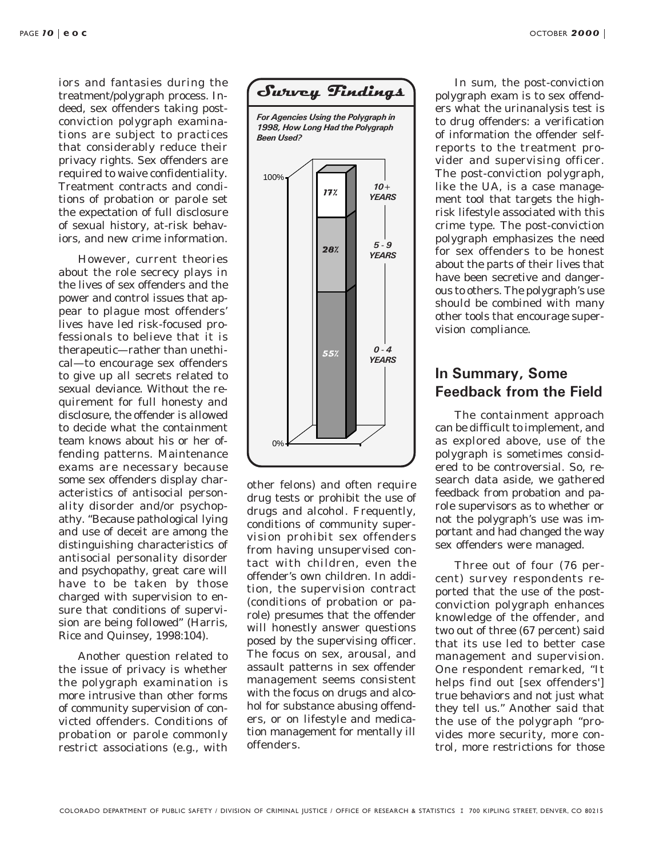OCTOBER 2000 |

iors and fantasies during the treatment/polygraph process. Indeed, sex offenders taking postconviction polygraph examinations are subject to practices that considerably reduce their privacy rights. Sex offenders are required to waive confidentiality. Treatment contracts and conditions of probation or parole set the expectation of full disclosure of sexual history, at-risk behaviors, and new crime information.

However, current theories about the role secrecy plays in the lives of sex offenders and the power and control issues that appear to plague most offenders' lives have led risk-focused professionals to believe that it is therapeutic—rather than unethical—to encourage sex offenders to give up all secrets related to sexual deviance. Without the requirement for full honesty and disclosure, the offender is allowed to decide what the containment team knows about his or her offending patterns. Maintenance exams are necessary because some sex offenders display characteristics of antisocial personality disorder and/or psychopathy. "Because pathological lying and use of deceit are among the distinguishing characteristics of antisocial personality disorder and psychopathy, great care will have to be taken by those charged with supervision to ensure that conditions of supervision are being followed" (Harris, Rice and Quinsey, 1998:104).

Another question related to the issue of privacy is whether the polygraph examination is more intrusive than other forms of community supervision of convicted offenders. Conditions of probation or parole commonly restrict associations (e.g., with



other felons) and often require drug tests or prohibit the use of drugs and alcohol. Frequently, conditions of community supervision prohibit sex offenders from having unsupervised contact with children, even the offender's own children. In addition, the supervision contract (conditions of probation or parole) presumes that the offender will honestly answer questions posed by the supervising officer. The focus on sex, arousal, and assault patterns in sex offender management seems consistent with the focus on drugs and alcohol for substance abusing offenders, or on lifestyle and medication management for mentally ill offenders.

In sum, the post-conviction polygraph exam is to sex offenders what the urinanalysis test is to drug offenders: a verification of information the offender selfreports to the treatment provider and supervising officer. The post-conviction polygraph, like the UA, is a case management tool that targets the highrisk lifestyle associated with this crime type. The post-conviction polygraph emphasizes the need for sex offenders to be honest about the parts of their lives that have been secretive and dangerous to others. The polygraph's use should be combined with many other tools that encourage supervision compliance.

#### In Summary, Some Feedback from the Field

The containment approach can be difficult to implement, and as explored above, use of the polygraph is sometimes considered to be controversial. So, research data aside, we gathered feedback from probation and parole supervisors as to whether or not the polygraph's use was important and had changed the way sex offenders were managed.

Three out of four (76 percent) survey respondents reported that the use of the postconviction polygraph enhances knowledge of the offender, and two out of three (67 percent) said that its use led to better case management and supervision. One respondent remarked, "It helps find out [sex offenders'] true behaviors and not just what they tell us." Another said that the use of the polygraph "provides more security, more control, more restrictions for those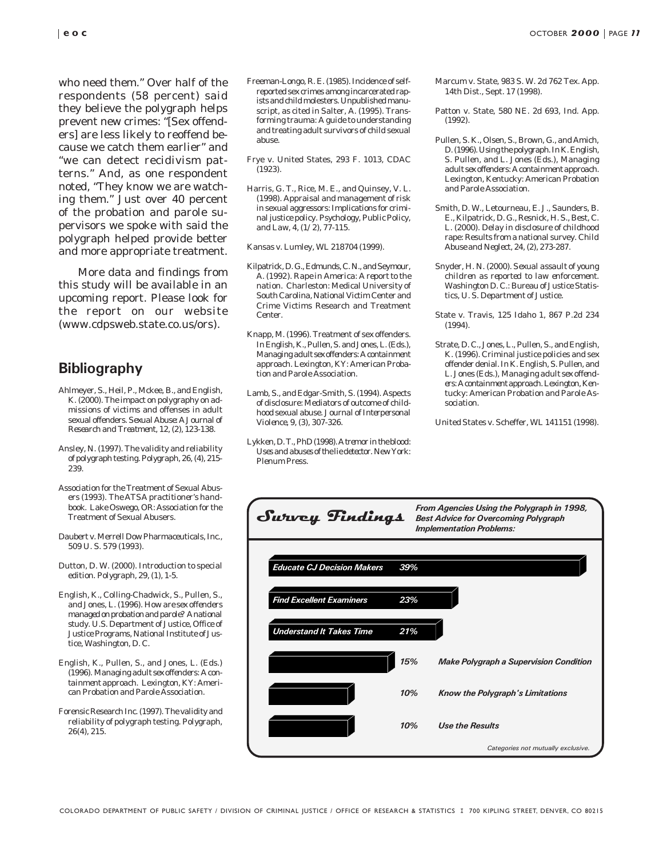who need them." Over half of the respondents (58 percent) said they believe the polygraph helps prevent new crimes: "[Sex offenders] are less likely to reoffend because we catch them earlier" and "we can detect recidivism patterns." And, as one respondent noted, "They know we are watching them." Just over 40 percent of the probation and parole supervisors we spoke with said the polygraph helped provide better and more appropriate treatment.

More data and findings from this study will be available in an upcoming report. Please look for the report on our website (www.cdpsweb.state.co.us/ors).

## **Bibliography**

- Ahlmeyer, S., Heil, P., Mckee, B., and English, K. (2000). The impact on polygraphy on admissions of victims and offenses in adult sexual offenders. *Sexual Abuse: A Journal of Research and Treatment, 12, (2),* 123-138.
- Ansley, N. (1997). The validity and reliability of polygraph testing. *Polygraph, 26, (4),* 215- 239.
- Association for the Treatment of Sexual Abusers (1993). *The ATSA practitioner's handbook*. Lake Oswego, OR: Association for the Treatment of Sexual Abusers.
- Daubert v. Merrell Dow Pharmaceuticals, Inc., 509 U. S. 579 (1993).
- Dutton, D. W. (2000). Introduction to special edition. *Polygraph, 29, (1),* 1-5.
- English, K., Colling-Chadwick, S., Pullen, S., and Jones, L. (1996). *How are sex offenders managed on probation and parole? A national study.* U.S. Department of Justice, Office of Justice Programs, National Institute of Justice, Washington, D. C.
- English, K., Pullen, S., and Jones, L. (Eds.) (1996). *Managing adult sex offenders: A containment approach.* Lexington, KY: American Probation and Parole Association.
- Forensic Research Inc. (1997). The validity and reliability of polygraph testing. *Polygraph*, 26(4), 215.
- Freeman-Longo, R. E. (1985). Incidence of selfreported sex crimes among incarcerated rapists and child molesters. Unpublished manuscript, as cited in Salter, A. (1995). Transforming trauma: A guide to understanding and treating adult survivors of child sexual abuse.
- Frye v. United States, 293 F. 1013, CDAC (1923).
- Harris, G. T., Rice, M. E., and Quinsey, V. L. (1998). Appraisal and management of risk in sexual aggressors: Implications for criminal justice policy. *Psychology, Public Policy, and Law, 4, (1/2),* 77-115.

Kansas v. Lumley, WL 218704 (1999).

- Kilpatrick, D. G., Edmunds, C. N., and Seymour, A. (1992*). Rape in America: A report to the nation.* Charleston: Medical University of South Carolina, National Victim Center and Crime Victims Research and Treatment Center.
- Knapp, M. (1996). Treatment of sex offenders. In English, K., Pullen, S. and Jones, L. (Eds.), *Managing adult sex offenders: A containment approach*. Lexington, KY: American Probation and Parole Association.
- Lamb, S., and Edgar-Smith, S. (1994). Aspects of disclosure: Mediators of outcome of childhood sexual abuse. *Journal of Interpersonal Violence, 9, (3),* 307-326.
- Lykken, D. T., PhD (1998). *A tremor in the blood: Uses and abuses of the lie detector*. New York: Plenum Press.
- Marcum v. State, 983 S. W. 2d 762 Tex. App. 14th Dist., Sept. 17 (1998).
- Patton v. State, 580 NE. 2d 693, Ind. App. (1992).
- Pullen, S. K., Olsen, S., Brown, G., and Amich, D. (1996). Using the polygraph. In K. English, S. Pullen, and L. Jones (Eds.), *Managing adult sex offenders: A containment approach.* Lexington, Kentucky: American Probation and Parole Association.
- Smith, D. W., Letourneau, E. J., Saunders, B. E., Kilpatrick, D. G., Resnick, H. S., Best, C. L. (2000). Delay in disclosure of childhood rape: Results from a national survey. *Child Abuse and Neglect*, 24, (2), 273-287.
- Snyder, H. N. (2000). *Sexual assault of young children as reported to law enforcement*. Washington D. C.: Bureau of Justice Statistics, U. S. Department of Justice.
- State v. Travis, 125 Idaho 1, 867 P.2d 234 (1994).
- Strate, D. C., Jones, L., Pullen, S., and English, K. (1996). Criminal justice policies and sex offender denial. In K. English, S. Pullen, and L. Jones (Eds.), *Managing adult sex offenders: A containment approach.* Lexington, Kentucky: American Probation and Parole Association.

United States v. Scheffer, WL 141151 (1998).